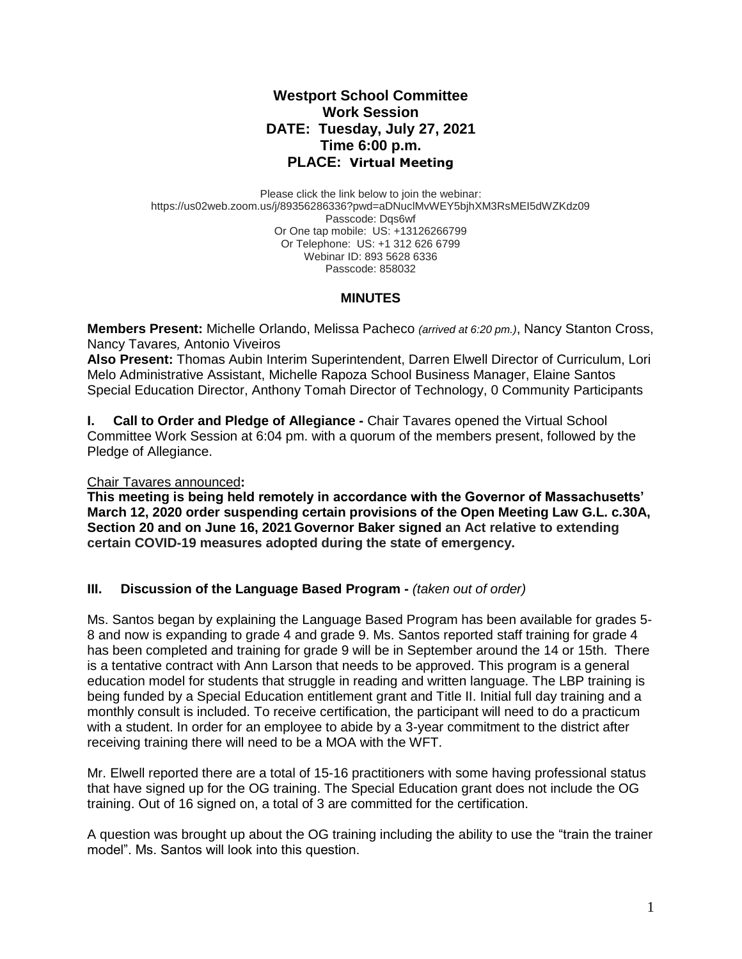# **Westport School Committee Work Session DATE: Tuesday, July 27, 2021 Time 6:00 p.m. PLACE: Virtual Meeting**

Please click the link below to join the webinar: https://us02web.zoom.us/j/89356286336?pwd=aDNuclMvWEY5bjhXM3RsMEI5dWZKdz09 Passcode: Dgs6wf Or One tap mobile: US: +13126266799 Or Telephone: US: +1 312 626 6799 Webinar ID: 893 5628 6336 Passcode: 858032

## **MINUTES**

**Members Present:** Michelle Orlando, Melissa Pacheco *(arrived at 6:20 pm.)*, Nancy Stanton Cross, Nancy Tavares*,* Antonio Viveiros

**Also Present:** Thomas Aubin Interim Superintendent, Darren Elwell Director of Curriculum, Lori Melo Administrative Assistant, Michelle Rapoza School Business Manager, Elaine Santos Special Education Director, Anthony Tomah Director of Technology, 0 Community Participants

**I. Call to Order and Pledge of Allegiance -** Chair Tavares opened the Virtual School Committee Work Session at 6:04 pm. with a quorum of the members present, followed by the Pledge of Allegiance.

#### Chair Tavares announced**:**

**This meeting is being held remotely in accordance with the Governor of Massachusetts' March 12, 2020 order suspending certain provisions of the Open Meeting Law G.L. c.30A, Section 20 and on June 16, 2021 Governor Baker signed an Act relative to extending certain COVID-19 measures adopted during the state of emergency.**

## **III. Discussion of the Language Based Program -** *(taken out of order)*

Ms. Santos began by explaining the Language Based Program has been available for grades 5- 8 and now is expanding to grade 4 and grade 9. Ms. Santos reported staff training for grade 4 has been completed and training for grade 9 will be in September around the 14 or 15th. There is a tentative contract with Ann Larson that needs to be approved. This program is a general education model for students that struggle in reading and written language. The LBP training is being funded by a Special Education entitlement grant and Title II. Initial full day training and a monthly consult is included. To receive certification, the participant will need to do a practicum with a student. In order for an employee to abide by a 3-year commitment to the district after receiving training there will need to be a MOA with the WFT.

Mr. Elwell reported there are a total of 15-16 practitioners with some having professional status that have signed up for the OG training. The Special Education grant does not include the OG training. Out of 16 signed on, a total of 3 are committed for the certification.

A question was brought up about the OG training including the ability to use the "train the trainer model". Ms. Santos will look into this question.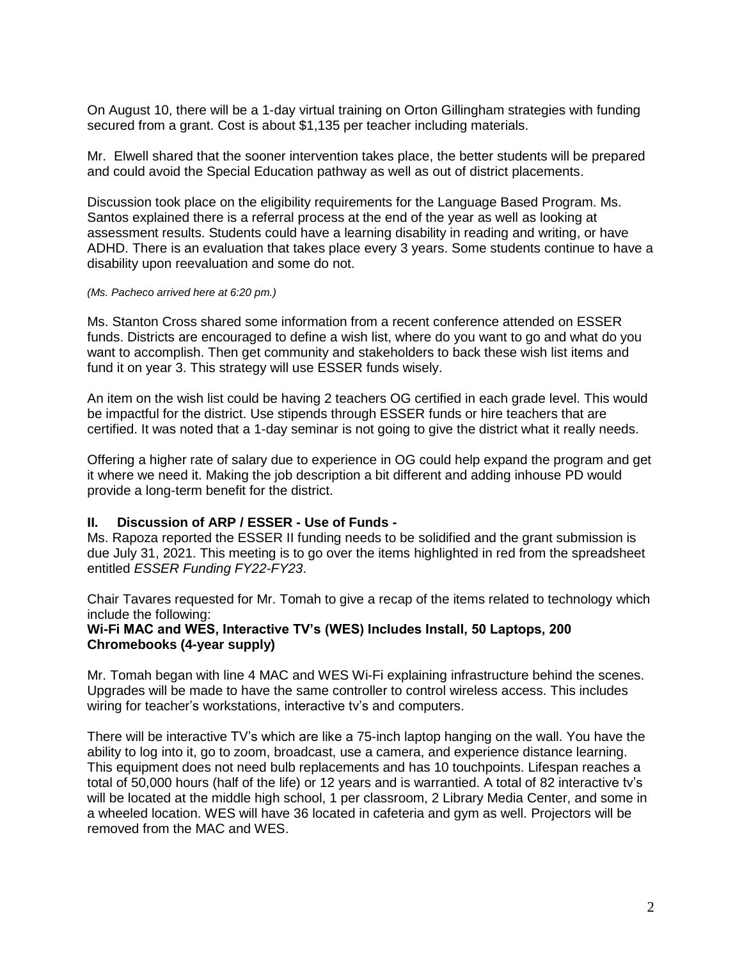On August 10, there will be a 1-day virtual training on Orton Gillingham strategies with funding secured from a grant. Cost is about \$1,135 per teacher including materials.

Mr. Elwell shared that the sooner intervention takes place, the better students will be prepared and could avoid the Special Education pathway as well as out of district placements.

Discussion took place on the eligibility requirements for the Language Based Program. Ms. Santos explained there is a referral process at the end of the year as well as looking at assessment results. Students could have a learning disability in reading and writing, or have ADHD. There is an evaluation that takes place every 3 years. Some students continue to have a disability upon reevaluation and some do not.

#### *(Ms. Pacheco arrived here at 6:20 pm.)*

Ms. Stanton Cross shared some information from a recent conference attended on ESSER funds. Districts are encouraged to define a wish list, where do you want to go and what do you want to accomplish. Then get community and stakeholders to back these wish list items and fund it on year 3. This strategy will use ESSER funds wisely.

An item on the wish list could be having 2 teachers OG certified in each grade level. This would be impactful for the district. Use stipends through ESSER funds or hire teachers that are certified. It was noted that a 1-day seminar is not going to give the district what it really needs.

Offering a higher rate of salary due to experience in OG could help expand the program and get it where we need it. Making the job description a bit different and adding inhouse PD would provide a long-term benefit for the district.

#### **II. Discussion of ARP / ESSER - Use of Funds -**

Ms. Rapoza reported the ESSER II funding needs to be solidified and the grant submission is due July 31, 2021. This meeting is to go over the items highlighted in red from the spreadsheet entitled *ESSER Funding FY22-FY23*.

Chair Tavares requested for Mr. Tomah to give a recap of the items related to technology which include the following:

### **Wi-Fi MAC and WES, Interactive TV's (WES) Includes Install, 50 Laptops, 200 Chromebooks (4-year supply)**

Mr. Tomah began with line 4 MAC and WES Wi-Fi explaining infrastructure behind the scenes. Upgrades will be made to have the same controller to control wireless access. This includes wiring for teacher's workstations, interactive tv's and computers.

There will be interactive TV's which are like a 75-inch laptop hanging on the wall. You have the ability to log into it, go to zoom, broadcast, use a camera, and experience distance learning. This equipment does not need bulb replacements and has 10 touchpoints. Lifespan reaches a total of 50,000 hours (half of the life) or 12 years and is warrantied. A total of 82 interactive tv's will be located at the middle high school, 1 per classroom, 2 Library Media Center, and some in a wheeled location. WES will have 36 located in cafeteria and gym as well. Projectors will be removed from the MAC and WES.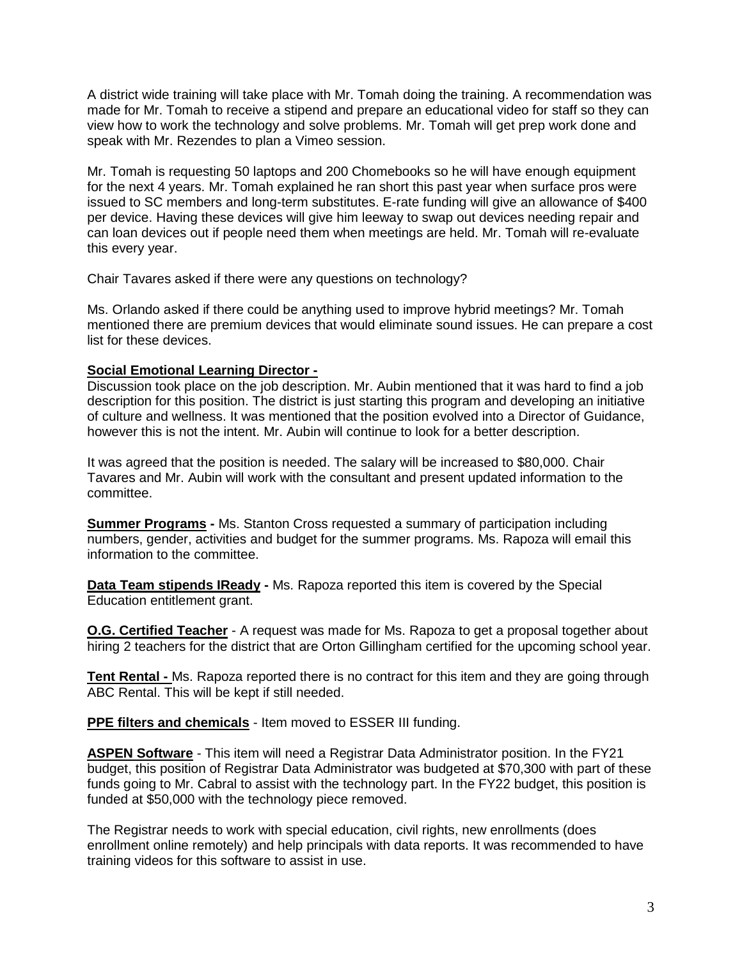A district wide training will take place with Mr. Tomah doing the training. A recommendation was made for Mr. Tomah to receive a stipend and prepare an educational video for staff so they can view how to work the technology and solve problems. Mr. Tomah will get prep work done and speak with Mr. Rezendes to plan a Vimeo session.

Mr. Tomah is requesting 50 laptops and 200 Chomebooks so he will have enough equipment for the next 4 years. Mr. Tomah explained he ran short this past year when surface pros were issued to SC members and long-term substitutes. E-rate funding will give an allowance of \$400 per device. Having these devices will give him leeway to swap out devices needing repair and can loan devices out if people need them when meetings are held. Mr. Tomah will re-evaluate this every year.

Chair Tavares asked if there were any questions on technology?

Ms. Orlando asked if there could be anything used to improve hybrid meetings? Mr. Tomah mentioned there are premium devices that would eliminate sound issues. He can prepare a cost list for these devices.

# **Social Emotional Learning Director -**

Discussion took place on the job description. Mr. Aubin mentioned that it was hard to find a job description for this position. The district is just starting this program and developing an initiative of culture and wellness. It was mentioned that the position evolved into a Director of Guidance, however this is not the intent. Mr. Aubin will continue to look for a better description.

It was agreed that the position is needed. The salary will be increased to \$80,000. Chair Tavares and Mr. Aubin will work with the consultant and present updated information to the committee.

**Summer Programs -** Ms. Stanton Cross requested a summary of participation including numbers, gender, activities and budget for the summer programs. Ms. Rapoza will email this information to the committee.

**Data Team stipends IReady -** Ms. Rapoza reported this item is covered by the Special Education entitlement grant.

**O.G. Certified Teacher** - A request was made for Ms. Rapoza to get a proposal together about hiring 2 teachers for the district that are Orton Gillingham certified for the upcoming school year.

**Tent Rental -** Ms. Rapoza reported there is no contract for this item and they are going through ABC Rental. This will be kept if still needed.

**PPE filters and chemicals** - Item moved to ESSER III funding.

**ASPEN Software** - This item will need a Registrar Data Administrator position. In the FY21 budget, this position of Registrar Data Administrator was budgeted at \$70,300 with part of these funds going to Mr. Cabral to assist with the technology part. In the FY22 budget, this position is funded at \$50,000 with the technology piece removed.

The Registrar needs to work with special education, civil rights, new enrollments (does enrollment online remotely) and help principals with data reports. It was recommended to have training videos for this software to assist in use.